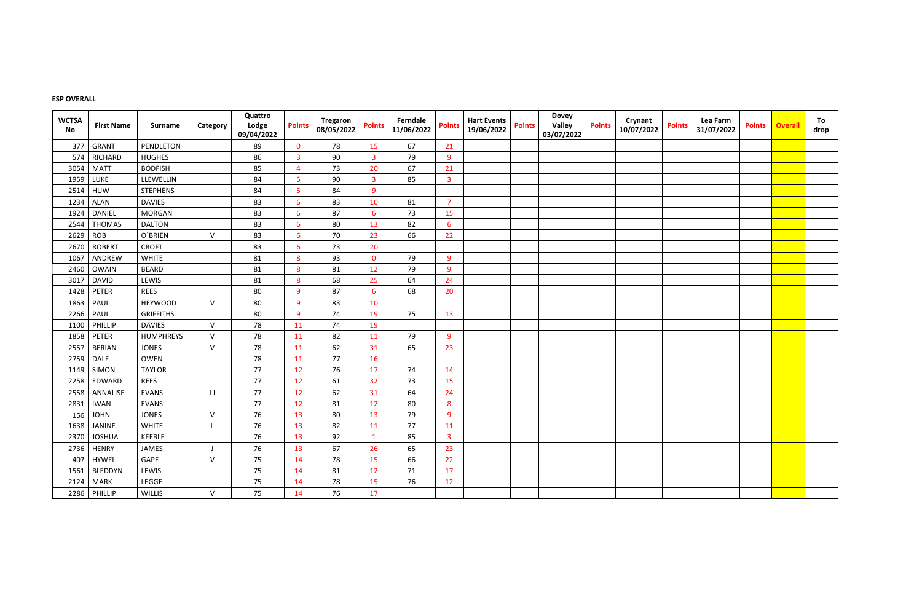## **ESP OVERALL**

| <b>WCTSA</b><br>No | <b>First Name</b> | <b>Surname</b>   | Category     | Quattro<br>Lodge<br>09/04/2022 | <b>Points</b>  | Tregaron<br>08/05/2022 | <b>Points</b>  | Ferndale<br>11/06/2022 | <b>Points</b>  | <b>Hart Events</b><br>19/06/2022 | <b>Points</b> | <b>Dovey</b><br>Valley<br>03/07/2022 | <b>Points</b> | Crynant<br>10/07/2022 | <b>Points</b> | Lea Farm<br>31/07/2022 | <b>Points</b> | <b>Overall</b> | To<br>drop |
|--------------------|-------------------|------------------|--------------|--------------------------------|----------------|------------------------|----------------|------------------------|----------------|----------------------------------|---------------|--------------------------------------|---------------|-----------------------|---------------|------------------------|---------------|----------------|------------|
| 377                | <b>GRANT</b>      | PENDLETON        |              | 89                             | $\mathbf 0$    | 78                     | 15             | 67                     | 21             |                                  |               |                                      |               |                       |               |                        |               |                |            |
| 574                | RICHARD           | <b>HUGHES</b>    |              | 86                             | $\overline{3}$ | 90                     | $\overline{3}$ | 79                     | 9              |                                  |               |                                      |               |                       |               |                        |               |                |            |
| 3054               | <b>MATT</b>       | <b>BODFISH</b>   |              | 85                             | 4              | 73                     | 20             | 67                     | 21             |                                  |               |                                      |               |                       |               |                        |               |                |            |
| 1959               | LUKE              | LLEWELLIN        |              | 84                             | 5              | 90                     | $\overline{3}$ | 85                     | $\overline{3}$ |                                  |               |                                      |               |                       |               |                        |               |                |            |
| 2514               | <b>HUW</b>        | <b>STEPHENS</b>  |              | 84                             | 5              | 84                     | 9              |                        |                |                                  |               |                                      |               |                       |               |                        |               |                |            |
| 1234               | ALAN              | <b>DAVIES</b>    |              | 83                             | 6              | 83                     | 10             | 81                     | $\overline{7}$ |                                  |               |                                      |               |                       |               |                        |               |                |            |
| 1924               | <b>DANIEL</b>     | <b>MORGAN</b>    |              | 83                             | 6              | 87                     | 6              | 73                     | 15             |                                  |               |                                      |               |                       |               |                        |               |                |            |
| 2544               | <b>THOMAS</b>     | <b>DALTON</b>    |              | 83                             | 6              | 80                     | 13             | 82                     | $6^{\circ}$    |                                  |               |                                      |               |                       |               |                        |               |                |            |
| 2629               | <b>ROB</b>        | O`BRIEN          | $\mathsf{V}$ | 83                             | 6              | 70                     | 23             | 66                     | 22             |                                  |               |                                      |               |                       |               |                        |               |                |            |
| 2670               | <b>ROBERT</b>     | <b>CROFT</b>     |              | 83                             | 6              | 73                     | 20             |                        |                |                                  |               |                                      |               |                       |               |                        |               |                |            |
| 1067               | ANDREW            | <b>WHITE</b>     |              | 81                             | 8              | 93                     | $\mathbf 0$    | 79                     | 9              |                                  |               |                                      |               |                       |               |                        |               |                |            |
| 2460               | <b>OWAIN</b>      | <b>BEARD</b>     |              | 81                             | 8              | 81                     | 12             | 79                     | 9              |                                  |               |                                      |               |                       |               |                        |               |                |            |
| 3017               | <b>DAVID</b>      | LEWIS            |              | 81                             | 8              | 68                     | 25             | 64                     | 24             |                                  |               |                                      |               |                       |               |                        |               |                |            |
| 1428               | PETER             | <b>REES</b>      |              | 80                             | 9              | 87                     | 6              | 68                     | 20             |                                  |               |                                      |               |                       |               |                        |               |                |            |
| 1863               | PAUL              | <b>HEYWOOD</b>   | $\vee$       | 80                             | 9              | 83                     | 10             |                        |                |                                  |               |                                      |               |                       |               |                        |               |                |            |
| 2266               | PAUL              | <b>GRIFFITHS</b> |              | 80                             | 9              | 74                     | 19             | 75                     | 13             |                                  |               |                                      |               |                       |               |                        |               |                |            |
| 1100               | PHILLIP           | <b>DAVIES</b>    | $\vee$       | 78                             | 11             | 74                     | 19             |                        |                |                                  |               |                                      |               |                       |               |                        |               |                |            |
| 1858               | PETER             | <b>HUMPHREYS</b> | $\vee$       | 78                             | 11             | 82                     | 11             | 79                     | 9              |                                  |               |                                      |               |                       |               |                        |               |                |            |
| 2557               | <b>BERIAN</b>     | <b>JONES</b>     | $\vee$       | 78                             | 11             | 62                     | 31             | 65                     | 23             |                                  |               |                                      |               |                       |               |                        |               |                |            |
| 2759               | <b>DALE</b>       | <b>OWEN</b>      |              | 78                             | 11             | 77                     | 16             |                        |                |                                  |               |                                      |               |                       |               |                        |               |                |            |
| 1149               | SIMON             | <b>TAYLOR</b>    |              | 77                             | 12             | 76                     | 17             | 74                     | 14             |                                  |               |                                      |               |                       |               |                        |               |                |            |
| 2258               | EDWARD            | <b>REES</b>      |              | 77                             | 12             | 61                     | 32             | 73                     | 15             |                                  |               |                                      |               |                       |               |                        |               |                |            |
| 2558               | ANNALISE          | <b>EVANS</b>     | IJ           | 77                             | 12             | 62                     | 31             | 64                     | 24             |                                  |               |                                      |               |                       |               |                        |               |                |            |
| 2831               | <b>IWAN</b>       | EVANS            |              | 77                             | 12             | 81                     | 12             | 80                     | 8              |                                  |               |                                      |               |                       |               |                        |               |                |            |
| 156                | <b>JOHN</b>       | <b>JONES</b>     | $\vee$       | 76                             | 13             | 80                     | 13             | 79                     | 9              |                                  |               |                                      |               |                       |               |                        |               |                |            |
| 1638               | JANINE            | <b>WHITE</b>     |              | 76                             | 13             | 82                     | 11             | 77                     | 11             |                                  |               |                                      |               |                       |               |                        |               |                |            |
|                    | 2370 JOSHUA       | KEEBLE           |              | 76                             | 13             | 92                     | $\mathbf{1}$   | 85                     | 3              |                                  |               |                                      |               |                       |               |                        |               |                |            |
|                    | 2736 HENRY        | JAMES            |              | 76                             | 13             | 67                     | 26             | 65                     | 23             |                                  |               |                                      |               |                       |               |                        |               |                |            |
|                    | 407   HYWEL       | GAPE             | $\vee$       | 75                             | 14             | 78                     | 15             | 66                     | 22             |                                  |               |                                      |               |                       |               |                        |               |                |            |
|                    | 1561 BLEDDYN      | LEWIS            |              | 75                             | 14             | 81                     | 12             | 71                     | 17             |                                  |               |                                      |               |                       |               |                        |               |                |            |
|                    | 2124   MARK       | LEGGE            |              | 75                             | 14             | 78                     | 15             | 76                     | 12             |                                  |               |                                      |               |                       |               |                        |               |                |            |
|                    | 2286 PHILLIP      | WILLIS           | $\vee$       | 75                             | 14             | 76                     | 17             |                        |                |                                  |               |                                      |               |                       |               |                        |               |                |            |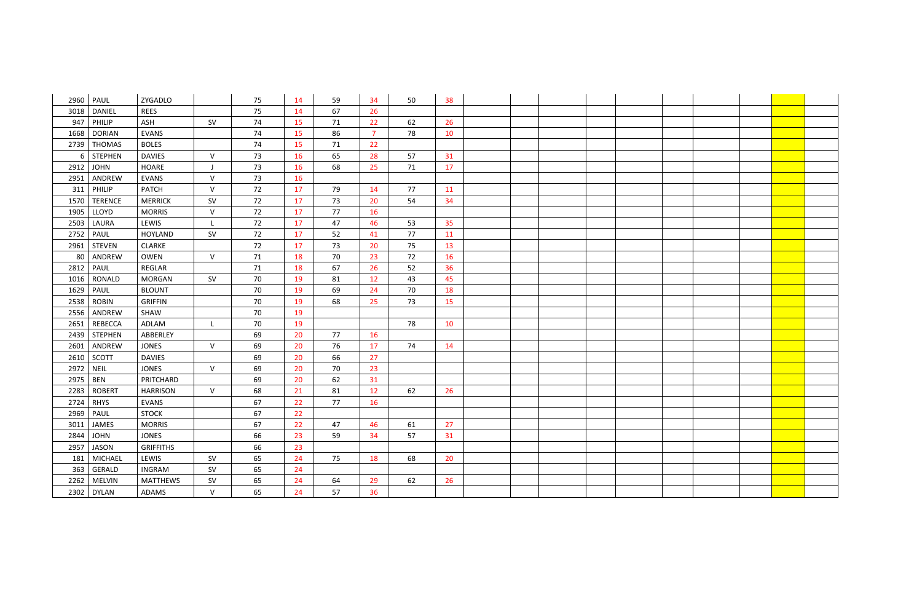|      | 2960   PAUL    | ZYGADLO          |              | 75 | 14 | 59 | 34             | 50 | 38 |  |  |  |  |
|------|----------------|------------------|--------------|----|----|----|----------------|----|----|--|--|--|--|
| 3018 | <b>DANIEL</b>  | <b>REES</b>      |              | 75 | 14 | 67 | 26             |    |    |  |  |  |  |
| 947  | PHILIP         | ASH              | SV           | 74 | 15 | 71 | 22             | 62 | 26 |  |  |  |  |
| 1668 | <b>DORIAN</b>  | <b>EVANS</b>     |              | 74 | 15 | 86 | $\overline{7}$ | 78 | 10 |  |  |  |  |
| 2739 | <b>THOMAS</b>  | <b>BOLES</b>     |              | 74 | 15 | 71 | 22             |    |    |  |  |  |  |
| 6    | <b>STEPHEN</b> | <b>DAVIES</b>    | $\vee$       | 73 | 16 | 65 | 28             | 57 | 31 |  |  |  |  |
| 2912 | <b>JOHN</b>    | <b>HOARE</b>     | IJ           | 73 | 16 | 68 | 25             | 71 | 17 |  |  |  |  |
| 2951 | ANDREW         | <b>EVANS</b>     | $\mathsf{V}$ | 73 | 16 |    |                |    |    |  |  |  |  |
| 311  | PHILIP         | <b>PATCH</b>     | $\mathsf{V}$ | 72 | 17 | 79 | 14             | 77 | 11 |  |  |  |  |
| 1570 | <b>TERENCE</b> | <b>MERRICK</b>   | <b>SV</b>    | 72 | 17 | 73 | 20             | 54 | 34 |  |  |  |  |
| 1905 | LLOYD          | <b>MORRIS</b>    | $\mathsf{V}$ | 72 | 17 | 77 | 16             |    |    |  |  |  |  |
| 2503 | LAURA          | LEWIS            |              | 72 | 17 | 47 | 46             | 53 | 35 |  |  |  |  |
| 2752 | PAUL           | <b>HOYLAND</b>   | <b>SV</b>    | 72 | 17 | 52 | 41             | 77 | 11 |  |  |  |  |
| 2961 | <b>STEVEN</b>  | <b>CLARKE</b>    |              | 72 | 17 | 73 | 20             | 75 | 13 |  |  |  |  |
| 80   | ANDREW         | OWEN             | $\vee$       | 71 | 18 | 70 | 23             | 72 | 16 |  |  |  |  |
| 2812 | PAUL           | REGLAR           |              | 71 | 18 | 67 | 26             | 52 | 36 |  |  |  |  |
| 1016 | RONALD         | <b>MORGAN</b>    | SV           | 70 | 19 | 81 | 12             | 43 | 45 |  |  |  |  |
| 1629 | PAUL           | <b>BLOUNT</b>    |              | 70 | 19 | 69 | 24             | 70 | 18 |  |  |  |  |
| 2538 | <b>ROBIN</b>   | <b>GRIFFIN</b>   |              | 70 | 19 | 68 | 25             | 73 | 15 |  |  |  |  |
| 2556 | ANDREW         | SHAW             |              | 70 | 19 |    |                |    |    |  |  |  |  |
| 2651 | <b>REBECCA</b> | ADLAM            | L            | 70 | 19 |    |                | 78 | 10 |  |  |  |  |
|      | $2439$ STEPHEN | ABBERLEY         |              | 69 | 20 | 77 | 16             |    |    |  |  |  |  |
| 2601 | ANDREW         | <b>JONES</b>     | $\vee$       | 69 | 20 | 76 | 17             | 74 | 14 |  |  |  |  |
|      | 2610   SCOTT   | <b>DAVIES</b>    |              | 69 | 20 | 66 | 27             |    |    |  |  |  |  |
| 2972 | <b>NEIL</b>    | <b>JONES</b>     | $\vee$       | 69 | 20 | 70 | 23             |    |    |  |  |  |  |
| 2975 | <b>BEN</b>     | PRITCHARD        |              | 69 | 20 | 62 | 31             |    |    |  |  |  |  |
| 2283 | <b>ROBERT</b>  | <b>HARRISON</b>  | $\vee$       | 68 | 21 | 81 | 12             | 62 | 26 |  |  |  |  |
| 2724 | <b>RHYS</b>    | EVANS            |              | 67 | 22 | 77 | 16             |    |    |  |  |  |  |
|      | 2969   PAUL    | <b>STOCK</b>     |              | 67 | 22 |    |                |    |    |  |  |  |  |
| 3011 | JAMES          | <b>MORRIS</b>    |              | 67 | 22 | 47 | 46             | 61 | 27 |  |  |  |  |
| 2844 | <b>JOHN</b>    | <b>JONES</b>     |              | 66 | 23 | 59 | 34             | 57 | 31 |  |  |  |  |
| 2957 | JASON          | <b>GRIFFITHS</b> |              | 66 | 23 |    |                |    |    |  |  |  |  |
| 181  | <b>MICHAEL</b> | LEWIS            | SV           | 65 | 24 | 75 | 18             | 68 | 20 |  |  |  |  |
| 363  | GERALD         | <b>INGRAM</b>    | SV           | 65 | 24 |    |                |    |    |  |  |  |  |
| 2262 | <b>MELVIN</b>  | <b>MATTHEWS</b>  | <b>SV</b>    | 65 | 24 | 64 | 29             | 62 | 26 |  |  |  |  |
|      | 2302 DYLAN     | ADAMS            | $\mathsf{V}$ | 65 | 24 | 57 | 36             |    |    |  |  |  |  |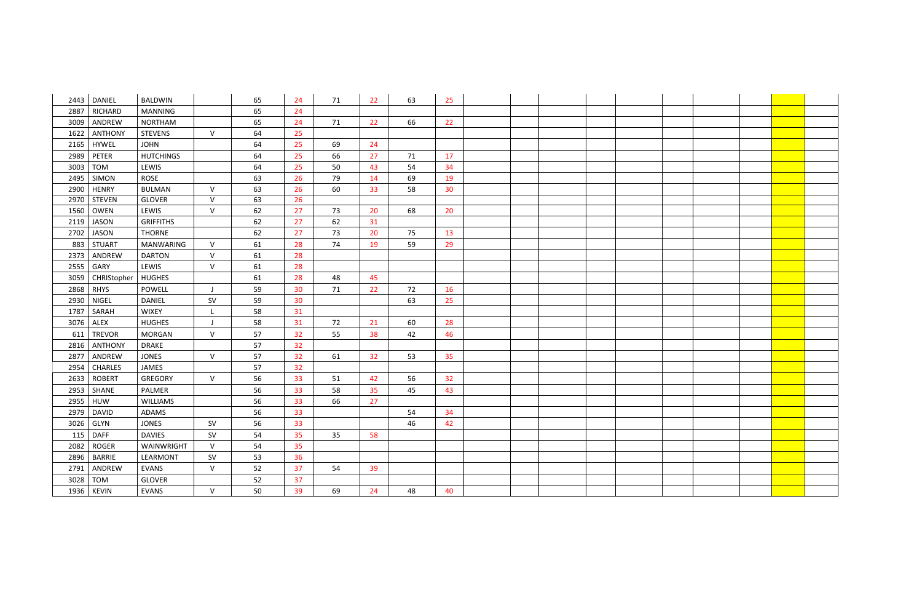|      | 2443   DANIEL  | <b>BALDWIN</b>   |              | 65 | 24 | 71 | 22 | 63 | 25 |  |  |  |  |
|------|----------------|------------------|--------------|----|----|----|----|----|----|--|--|--|--|
| 2887 | RICHARD        | <b>MANNING</b>   |              | 65 | 24 |    |    |    |    |  |  |  |  |
| 3009 | ANDREW         | <b>NORTHAM</b>   |              | 65 | 24 | 71 | 22 | 66 | 22 |  |  |  |  |
| 1622 | <b>ANTHONY</b> | <b>STEVENS</b>   | $\vee$       | 64 | 25 |    |    |    |    |  |  |  |  |
|      | 2165   HYWEL   | <b>JOHN</b>      |              | 64 | 25 | 69 | 24 |    |    |  |  |  |  |
| 2989 | PETER          | <b>HUTCHINGS</b> |              | 64 | 25 | 66 | 27 | 71 | 17 |  |  |  |  |
| 3003 | TOM            | LEWIS            |              | 64 | 25 | 50 | 43 | 54 | 34 |  |  |  |  |
| 2495 | SIMON          | ROSE             |              | 63 | 26 | 79 | 14 | 69 | 19 |  |  |  |  |
| 2900 | <b>HENRY</b>   | <b>BULMAN</b>    | $\vee$       | 63 | 26 | 60 | 33 | 58 | 30 |  |  |  |  |
| 2970 | <b>STEVEN</b>  | <b>GLOVER</b>    | $\vee$       | 63 | 26 |    |    |    |    |  |  |  |  |
| 1560 | OWEN           | LEWIS            | $\vee$       | 62 | 27 | 73 | 20 | 68 | 20 |  |  |  |  |
| 2119 | <b>JASON</b>   | <b>GRIFFITHS</b> |              | 62 | 27 | 62 | 31 |    |    |  |  |  |  |
| 2702 | JASON          | <b>THORNE</b>    |              | 62 | 27 | 73 | 20 | 75 | 13 |  |  |  |  |
| 883  | <b>STUART</b>  | <b>MANWARING</b> | $\vee$       | 61 | 28 | 74 | 19 | 59 | 29 |  |  |  |  |
| 2373 | ANDREW         | <b>DARTON</b>    | $\vee$       | 61 | 28 |    |    |    |    |  |  |  |  |
| 2555 | GARY           | LEWIS            | $\mathsf{V}$ | 61 | 28 |    |    |    |    |  |  |  |  |
| 3059 | CHRIStopher    | <b>HUGHES</b>    |              | 61 | 28 | 48 | 45 |    |    |  |  |  |  |
| 2868 | RHYS           | POWELL           |              | 59 | 30 | 71 | 22 | 72 | 16 |  |  |  |  |
| 2930 | <b>NIGEL</b>   | <b>DANIEL</b>    | SV           | 59 | 30 |    |    | 63 | 25 |  |  |  |  |
| 1787 | SARAH          | <b>WIXEY</b>     | $\mathsf{L}$ | 58 | 31 |    |    |    |    |  |  |  |  |
| 3076 | ALEX           | <b>HUGHES</b>    |              | 58 | 31 | 72 | 21 | 60 | 28 |  |  |  |  |
| 611  | <b>TREVOR</b>  | <b>MORGAN</b>    | $\vee$       | 57 | 32 | 55 | 38 | 42 | 46 |  |  |  |  |
| 2816 | <b>ANTHONY</b> | <b>DRAKE</b>     |              | 57 | 32 |    |    |    |    |  |  |  |  |
| 2877 | ANDREW         | <b>JONES</b>     | $\vee$       | 57 | 32 | 61 | 32 | 53 | 35 |  |  |  |  |
| 2954 | <b>CHARLES</b> | JAMES            |              | 57 | 32 |    |    |    |    |  |  |  |  |
| 2633 | <b>ROBERT</b>  | <b>GREGORY</b>   | $\vee$       | 56 | 33 | 51 | 42 | 56 | 32 |  |  |  |  |
| 2953 | SHANE          | PALMER           |              | 56 | 33 | 58 | 35 | 45 | 43 |  |  |  |  |
| 2955 | HUW            | <b>WILLIAMS</b>  |              | 56 | 33 | 66 | 27 |    |    |  |  |  |  |
| 2979 | <b>DAVID</b>   | ADAMS            |              | 56 | 33 |    |    | 54 | 34 |  |  |  |  |
|      | 3026 GLYN      | <b>JONES</b>     | <b>SV</b>    | 56 | 33 |    |    | 46 | 42 |  |  |  |  |
|      | $115$ DAFF     | <b>DAVIES</b>    | <b>SV</b>    | 54 | 35 | 35 | 58 |    |    |  |  |  |  |
| 2082 | <b>ROGER</b>   | WAINWRIGHT       | $\vee$       | 54 | 35 |    |    |    |    |  |  |  |  |
|      | 2896   BARRIE  | LEARMONT         | <b>SV</b>    | 53 | 36 |    |    |    |    |  |  |  |  |
| 2791 | ANDREW         | <b>EVANS</b>     | $\vee$       | 52 | 37 | 54 | 39 |    |    |  |  |  |  |
|      | 3028 TOM       | <b>GLOVER</b>    |              | 52 | 37 |    |    |    |    |  |  |  |  |
|      | 1936   KEVIN   | <b>EVANS</b>     | $\mathsf{V}$ | 50 | 39 | 69 | 24 | 48 | 40 |  |  |  |  |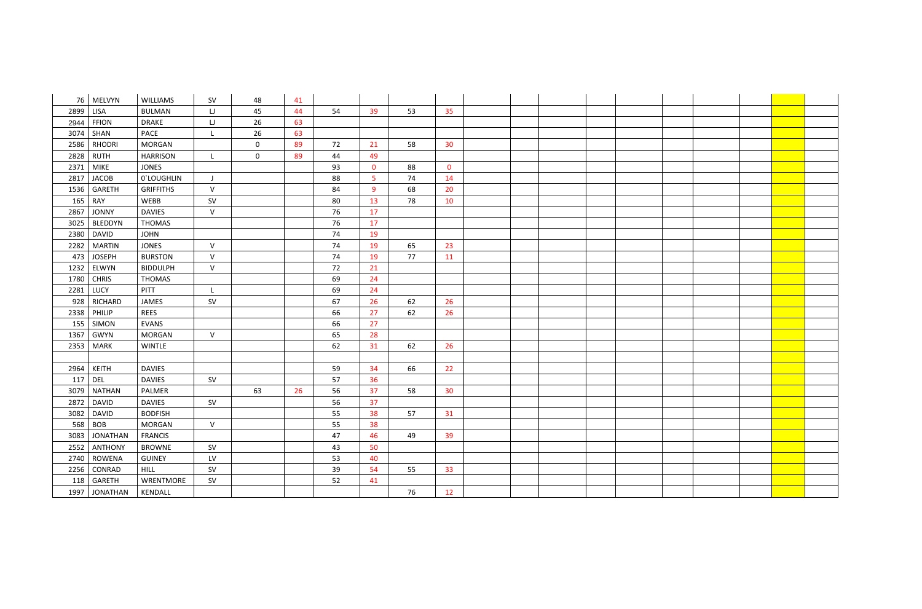|      | 76 MELVYN       | WILLIAMS         | <b>SV</b>    | 48             | 41 |    |                |    |                 |  |  |  |  |
|------|-----------------|------------------|--------------|----------------|----|----|----------------|----|-----------------|--|--|--|--|
| 2899 | <b>LISA</b>     | <b>BULMAN</b>    | IJ           | 45             | 44 | 54 | 39             | 53 | 35              |  |  |  |  |
| 2944 | FFION           | <b>DRAKE</b>     | IJ           | 26             | 63 |    |                |    |                 |  |  |  |  |
| 3074 | SHAN            | PACE             | $\mathsf{L}$ | 26             | 63 |    |                |    |                 |  |  |  |  |
|      | 2586 RHODRI     | <b>MORGAN</b>    |              | $\overline{0}$ | 89 | 72 | 21             | 58 | 30              |  |  |  |  |
| 2828 | <b>RUTH</b>     | <b>HARRISON</b>  | - L          | $\overline{0}$ | 89 | 44 | 49             |    |                 |  |  |  |  |
|      | 2371 MIKE       | <b>JONES</b>     |              |                |    | 93 | $\overline{0}$ | 88 | $\mathbf{0}$    |  |  |  |  |
| 2817 | <b>JACOB</b>    | 0'LOUGHLIN       | J            |                |    | 88 | $\overline{5}$ | 74 | 14              |  |  |  |  |
|      | 1536   GARETH   | <b>GRIFFITHS</b> | $\mathsf{V}$ |                |    | 84 | 9              | 68 | 20              |  |  |  |  |
|      | $165$ RAY       | WEBB             | SV           |                |    | 80 | 13             | 78 | 10              |  |  |  |  |
| 2867 | <b>JONNY</b>    | <b>DAVIES</b>    | $\mathsf{V}$ |                |    | 76 | 17             |    |                 |  |  |  |  |
| 3025 | <b>BLEDDYN</b>  | <b>THOMAS</b>    |              |                |    | 76 | 17             |    |                 |  |  |  |  |
| 2380 | <b>DAVID</b>    | <b>JOHN</b>      |              |                |    | 74 | 19             |    |                 |  |  |  |  |
| 2282 | <b>MARTIN</b>   | <b>JONES</b>     | $\mathsf{V}$ |                |    | 74 | 19             | 65 | 23              |  |  |  |  |
| 473  | <b>JOSEPH</b>   | <b>BURSTON</b>   | $\mathsf V$  |                |    | 74 | 19             | 77 | 11              |  |  |  |  |
|      | 1232 ELWYN      | <b>BIDDULPH</b>  | $\vee$       |                |    | 72 | 21             |    |                 |  |  |  |  |
|      | 1780 CHRIS      | THOMAS           |              |                |    | 69 | 24             |    |                 |  |  |  |  |
|      | 2281 LUCY       | PITT             | L            |                |    | 69 | 24             |    |                 |  |  |  |  |
| 928  | RICHARD         | JAMES            | SV           |                |    | 67 | 26             | 62 | 26              |  |  |  |  |
|      | 2338 PHILIP     | <b>REES</b>      |              |                |    | 66 | 27             | 62 | 26              |  |  |  |  |
|      | 155 SIMON       | <b>EVANS</b>     |              |                |    | 66 | 27             |    |                 |  |  |  |  |
| 1367 | <b>GWYN</b>     | <b>MORGAN</b>    | $\mathsf{V}$ |                |    | 65 | 28             |    |                 |  |  |  |  |
|      | 2353 MARK       | <b>WINTLE</b>    |              |                |    | 62 | 31             | 62 | 26              |  |  |  |  |
|      |                 |                  |              |                |    |    |                |    |                 |  |  |  |  |
| 2964 | KEITH           | <b>DAVIES</b>    |              |                |    | 59 | 34             | 66 | 22              |  |  |  |  |
| 117  | $ $ Del         | <b>DAVIES</b>    | SV           |                |    | 57 | 36             |    |                 |  |  |  |  |
| 3079 | <b>NATHAN</b>   | PALMER           |              | 63             | 26 | 56 | 37             | 58 | 30 <sup>°</sup> |  |  |  |  |
| 2872 | DAVID           | <b>DAVIES</b>    | SV           |                |    | 56 | 37             |    |                 |  |  |  |  |
|      | 3082   DAVID    | <b>BODFISH</b>   |              |                |    | 55 | 38             | 57 | 31              |  |  |  |  |
|      | 568 BOB         | <b>MORGAN</b>    | $\vee$       |                |    | 55 | 38             |    |                 |  |  |  |  |
| 3083 | <b>JONATHAN</b> | <b>FRANCIS</b>   |              |                |    | 47 | 46             | 49 | 39              |  |  |  |  |
| 2552 | <b>ANTHONY</b>  | <b>BROWNE</b>    | SV           |                |    | 43 | 50             |    |                 |  |  |  |  |
|      | 2740   ROWENA   | <b>GUINEY</b>    | LV           |                |    | 53 | 40             |    |                 |  |  |  |  |
|      | 2256 CONRAD     | <b>HILL</b>      | SV           |                |    | 39 | 54             | 55 | 33              |  |  |  |  |
|      | 118 GARETH      | WRENTMORE        | SV           |                |    | 52 | 41             |    |                 |  |  |  |  |
|      | 1997 JONATHAN   | KENDALL          |              |                |    |    |                | 76 | 12              |  |  |  |  |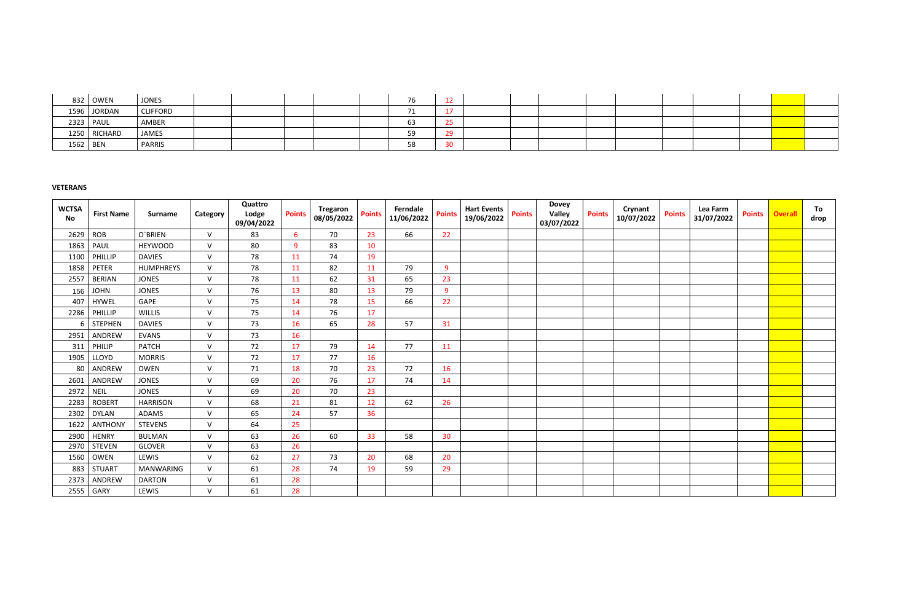|          | 832 OWEN     | <b>JONES</b>    |  |  | 76.       |                              |  |  |  |  |
|----------|--------------|-----------------|--|--|-----------|------------------------------|--|--|--|--|
|          | 1596 JORDAN  | <b>CLIFFORD</b> |  |  |           |                              |  |  |  |  |
|          | 2323 PAUL    | AMBER           |  |  | <b>DJ</b> | $\sim$ $\sim$                |  |  |  |  |
|          | 1250 RICHARD | JAMES           |  |  |           | $\Omega$                     |  |  |  |  |
| 1562 BEN |              | PARRIS          |  |  | ၁၀        | $\Omega$<br>-30<br><u>JV</u> |  |  |  |  |

# **VETERANS**

| <b>WCTSA</b><br><b>No</b> | <b>First Name</b> | <b>Surname</b>   | Category     | Quattro<br>Lodge<br>09/04/2022 | <b>Points</b> | <b>Tregaron</b><br>08/05/2022 | <b>Points</b> | Ferndale<br>11/06/2022 | <b>Points</b> | <b>Hart Events</b><br>19/06/2022 | <b>Points</b> | <b>Dovey</b><br><b>Valley</b><br>03/07/2022 | <b>Points</b> | Crynant<br>10/07/2022 | <b>Points</b> | Lea Farm<br>31/07/2022 | <b>Points</b> | <b>Overall</b> | To<br>drop |
|---------------------------|-------------------|------------------|--------------|--------------------------------|---------------|-------------------------------|---------------|------------------------|---------------|----------------------------------|---------------|---------------------------------------------|---------------|-----------------------|---------------|------------------------|---------------|----------------|------------|
| 2629                      | <b>ROB</b>        | O'BRIEN          | $\mathsf{V}$ | 83                             | 6             | 70                            | 23            | 66                     | 22            |                                  |               |                                             |               |                       |               |                        |               |                |            |
| 1863                      | PAUL              | <b>HEYWOOD</b>   | $\vee$       | 80                             | $\mathbf{q}$  | 83                            | 10            |                        |               |                                  |               |                                             |               |                       |               |                        |               |                |            |
| 1100                      | PHILLIP           | <b>DAVIES</b>    | $\vee$       | 78                             | 11            | 74                            | 19            |                        |               |                                  |               |                                             |               |                       |               |                        |               |                |            |
| 1858                      | PETER             | <b>HUMPHREYS</b> | $\vee$       | 78                             | 11            | 82                            | 11            | 79                     | 9             |                                  |               |                                             |               |                       |               |                        |               |                |            |
| 2557                      | <b>BERIAN</b>     | <b>JONES</b>     | $\vee$       | 78                             | 11            | 62                            | 31            | 65                     | 23            |                                  |               |                                             |               |                       |               |                        |               |                |            |
| 156                       | <b>JOHN</b>       | <b>JONES</b>     | $\vee$       | 76                             | 13            | 80                            | 13            | 79                     | 9             |                                  |               |                                             |               |                       |               |                        |               |                |            |
| 407                       | <b>HYWEL</b>      | GAPE             | $\vee$       | 75                             | 14            | 78                            | 15            | 66                     | 22            |                                  |               |                                             |               |                       |               |                        |               |                |            |
| 2286                      | PHILLIP           | <b>WILLIS</b>    | $\vee$       | 75                             | 14            | 76                            | 17            |                        |               |                                  |               |                                             |               |                       |               |                        |               |                |            |
| 6                         | <b>STEPHEN</b>    | <b>DAVIES</b>    | $\vee$       | 73                             | 16            | 65                            | 28            | 57                     | 31            |                                  |               |                                             |               |                       |               |                        |               |                |            |
| 2951                      | ANDREW            | <b>EVANS</b>     | $\vee$       | 73                             | 16            |                               |               |                        |               |                                  |               |                                             |               |                       |               |                        |               |                |            |
| 311                       | PHILIP            | <b>PATCH</b>     | $\vee$       | 72                             | 17            | 79                            | 14            | 77                     | 11            |                                  |               |                                             |               |                       |               |                        |               |                |            |
| 1905                      | LLOYD             | <b>MORRIS</b>    | $\vee$       | 72                             | 17            | 77                            | 16            |                        |               |                                  |               |                                             |               |                       |               |                        |               |                |            |
| 80                        | ANDREW            | OWEN             | $\vee$       | 71                             | 18            | 70                            | 23            | 72                     | 16            |                                  |               |                                             |               |                       |               |                        |               |                |            |
| 2601                      | ANDREW            | <b>JONES</b>     | $\vee$       | 69                             | 20            | 76                            | 17            | 74                     | 14            |                                  |               |                                             |               |                       |               |                        |               |                |            |
| 2972                      | <b>NEIL</b>       | <b>JONES</b>     | $\vee$       | 69                             | 20            | 70                            | 23            |                        |               |                                  |               |                                             |               |                       |               |                        |               |                |            |
| 2283                      | <b>ROBERT</b>     | <b>HARRISON</b>  | $\vee$       | 68                             | 21            | 81                            | 12            | 62                     | 26            |                                  |               |                                             |               |                       |               |                        |               |                |            |
| 2302                      | <b>DYLAN</b>      | <b>ADAMS</b>     | $\vee$       | 65                             | 24            | 57                            | 36            |                        |               |                                  |               |                                             |               |                       |               |                        |               |                |            |
| 1622                      | <b>ANTHONY</b>    | <b>STEVENS</b>   | $\vee$       | 64                             | 25            |                               |               |                        |               |                                  |               |                                             |               |                       |               |                        |               |                |            |
| 2900                      | <b>HENRY</b>      | <b>BULMAN</b>    | $\vee$       | 63                             | 26            | 60                            | 33            | 58                     | 30            |                                  |               |                                             |               |                       |               |                        |               |                |            |
| 2970                      | <b>STEVEN</b>     | <b>GLOVER</b>    | $\vee$       | 63                             | 26            |                               |               |                        |               |                                  |               |                                             |               |                       |               |                        |               |                |            |
| 1560                      | OWEN              | LEWIS            | $\vee$       | 62                             | 27            | 73                            | 20            | 68                     | 20            |                                  |               |                                             |               |                       |               |                        |               |                |            |
| 883                       | <b>STUART</b>     | <b>MANWARING</b> | $\vee$       | 61                             | 28            | 74                            | 19            | 59                     | 29            |                                  |               |                                             |               |                       |               |                        |               |                |            |
| 2373                      | ANDREW            | <b>DARTON</b>    | $\vee$       | 61                             | 28            |                               |               |                        |               |                                  |               |                                             |               |                       |               |                        |               |                |            |
| 2555                      | GARY              | LEWIS            | $\vee$       | 61                             | 28            |                               |               |                        |               |                                  |               |                                             |               |                       |               |                        |               |                |            |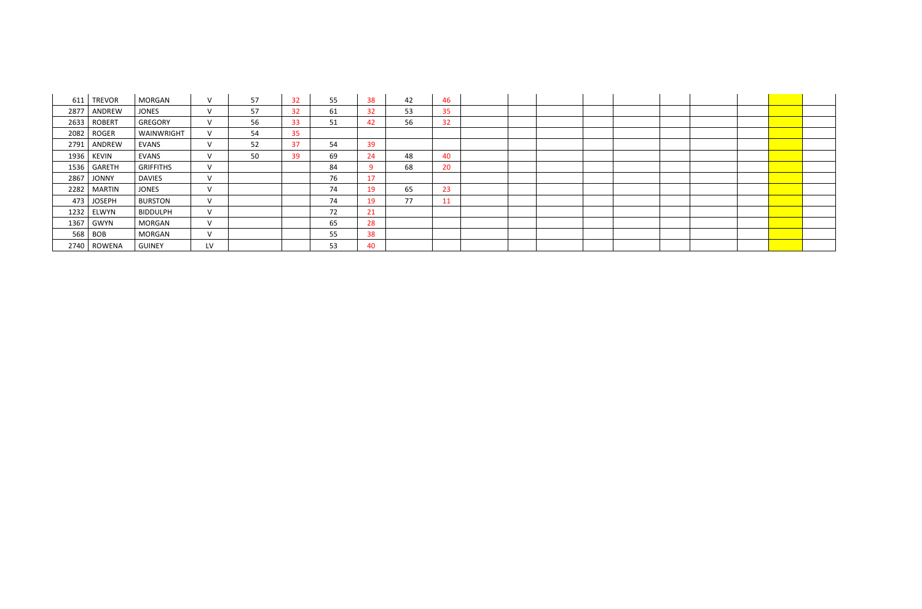| 611  | <b>TREVOR</b> | MORGAN           | $\vee$        | 57 | 32 | 55 | 38 | 42 | 46 |  |  |  |  |  |
|------|---------------|------------------|---------------|----|----|----|----|----|----|--|--|--|--|--|
| 2877 | ANDREW        | <b>JONES</b>     | $\vee$        | 57 | 32 | 61 | 32 | 53 | 35 |  |  |  |  |  |
| 2633 | <b>ROBERT</b> | <b>GREGORY</b>   | $\vee$        | 56 | 33 | 51 | 42 | 56 | 32 |  |  |  |  |  |
| 2082 | ROGER         | WAINWRIGHT       | $\mathcal{U}$ | 54 | 35 |    |    |    |    |  |  |  |  |  |
| 2791 | ANDREW        | <b>EVANS</b>     | $\vee$        | 52 | 37 | 54 | 39 |    |    |  |  |  |  |  |
|      | 1936   KEVIN  | EVANS            | $\vee$        | 50 | 39 | 69 | 24 | 48 | 40 |  |  |  |  |  |
| 1536 | GARETH        | <b>GRIFFITHS</b> | $\vee$        |    |    | 84 | q  | 68 | 20 |  |  |  |  |  |
| 2867 | <b>JONNY</b>  | <b>DAVIES</b>    | $\vee$        |    |    | 76 | 17 |    |    |  |  |  |  |  |
| 2282 | MARTIN        | <b>JONES</b>     | $\vee$        |    |    | 74 | 19 | 65 | 23 |  |  |  |  |  |
| 473  | <b>JOSEPH</b> | <b>BURSTON</b>   | $\vee$        |    |    | 74 | 19 | 77 | 11 |  |  |  |  |  |
| 1232 | ELWYN         | <b>BIDDULPH</b>  | $\vee$        |    |    | 72 | 21 |    |    |  |  |  |  |  |
| 1367 | GWYN          | MORGAN           | $\vee$        |    |    | 65 | 28 |    |    |  |  |  |  |  |
|      | $568$ BOB     | MORGAN           | $\vee$        |    |    | 55 | 38 |    |    |  |  |  |  |  |
|      | 2740   ROWENA | <b>GUINEY</b>    | LV            |    |    | 53 | 40 |    |    |  |  |  |  |  |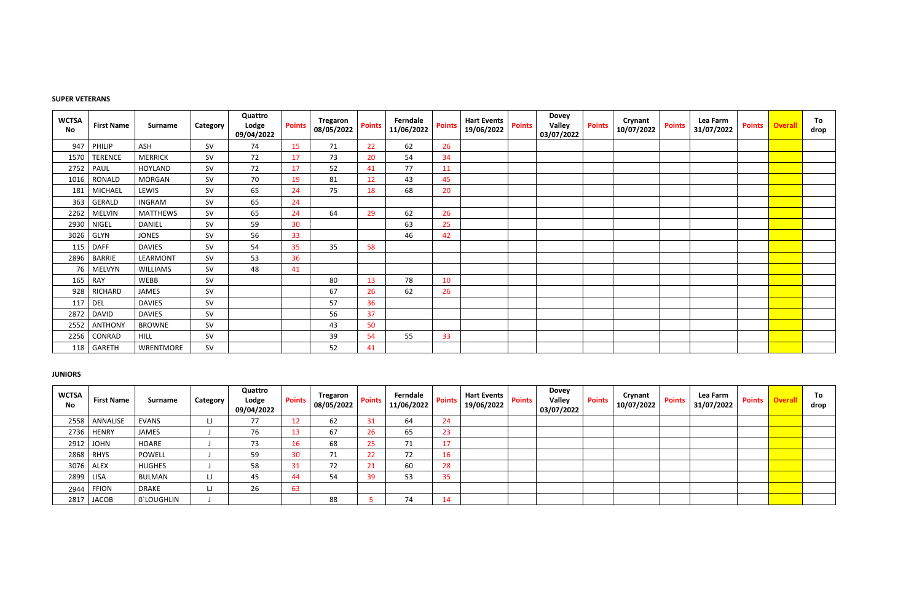## **SUPER VETERANS**

| <b>WCTSA</b><br><b>No</b> | <b>First Name</b> | <b>Surname</b>  | Category  | Quattro<br>Lodge<br>09/04/2022 | <b>Points</b> | Tregaron<br>08/05/2022 | <b>Points</b> | Ferndale<br>11/06/2022 | <b>Points</b> | <b>Hart Events</b><br>19/06/2022 | <b>Points</b> | <b>Dovey</b><br><b>Valley</b><br>03/07/2022 | <b>Points</b> | Crynant<br>10/07/2022 | <b>Points</b> | Lea Farm<br>31/07/2022 | <b>Points</b> | <b>Overall</b> | To<br>drop |
|---------------------------|-------------------|-----------------|-----------|--------------------------------|---------------|------------------------|---------------|------------------------|---------------|----------------------------------|---------------|---------------------------------------------|---------------|-----------------------|---------------|------------------------|---------------|----------------|------------|
| 947                       | PHILIP            | ASH             | SV        | 74                             | 15            | 71                     | 22            | 62                     | 26            |                                  |               |                                             |               |                       |               |                        |               |                |            |
| 1570                      | <b>TERENCE</b>    | <b>MERRICK</b>  | SV        | 72                             | 17            | 73                     | 20            | 54                     | 34            |                                  |               |                                             |               |                       |               |                        |               |                |            |
| 2752                      | PAUL              | <b>HOYLAND</b>  | <b>SV</b> | 72                             | 17            | 52                     | 41            | 77                     | 11            |                                  |               |                                             |               |                       |               |                        |               |                |            |
| 1016                      | RONALD            | <b>MORGAN</b>   | <b>SV</b> | 70                             | 19            | 81                     | 12            | 43                     | 45            |                                  |               |                                             |               |                       |               |                        |               |                |            |
| 181                       | <b>MICHAEL</b>    | LEWIS           | SV        | 65                             | 24            | 75                     | 18            | 68                     | 20            |                                  |               |                                             |               |                       |               |                        |               |                |            |
| 363                       | <b>GERALD</b>     | <b>INGRAM</b>   | <b>SV</b> | 65                             | 24            |                        |               |                        |               |                                  |               |                                             |               |                       |               |                        |               |                |            |
| 2262                      | <b>MELVIN</b>     | <b>MATTHEWS</b> | SV        | 65                             | 24            | 64                     | 29            | 62                     | 26            |                                  |               |                                             |               |                       |               |                        |               |                |            |
| 2930                      | <b>NIGEL</b>      | <b>DANIEL</b>   | <b>SV</b> | 59                             | 30            |                        |               | 63                     | 25            |                                  |               |                                             |               |                       |               |                        |               |                |            |
| 3026                      | GLYN              | <b>JONES</b>    | <b>SV</b> | 56                             | 33            |                        |               | 46                     | 42            |                                  |               |                                             |               |                       |               |                        |               |                |            |
| 115                       | <b>DAFF</b>       | <b>DAVIES</b>   | SV        | 54                             | 35            | 35                     | 58            |                        |               |                                  |               |                                             |               |                       |               |                        |               |                |            |
| 2896                      | <b>BARRIE</b>     | LEARMONT        | <b>SV</b> | 53                             | 36            |                        |               |                        |               |                                  |               |                                             |               |                       |               |                        |               |                |            |
| 76                        | <b>MELVYN</b>     | <b>WILLIAMS</b> | <b>SV</b> | 48                             | 41            |                        |               |                        |               |                                  |               |                                             |               |                       |               |                        |               |                |            |
| 165                       | <b>RAY</b>        | WEBB            | SV        |                                |               | 80                     | 13            | 78                     | 10            |                                  |               |                                             |               |                       |               |                        |               |                |            |
| 928                       | <b>RICHARD</b>    | <b>JAMES</b>    | SV        |                                |               | 67                     | 26            | 62                     | 26            |                                  |               |                                             |               |                       |               |                        |               |                |            |
| 117                       | <b>DEL</b>        | <b>DAVIES</b>   | <b>SV</b> |                                |               | 57                     | 36            |                        |               |                                  |               |                                             |               |                       |               |                        |               |                |            |
| 2872                      | <b>DAVID</b>      | <b>DAVIES</b>   | SV        |                                |               | 56                     | 37            |                        |               |                                  |               |                                             |               |                       |               |                        |               |                |            |
| 2552                      | <b>ANTHONY</b>    | <b>BROWNE</b>   | SV        |                                |               | 43                     | 50            |                        |               |                                  |               |                                             |               |                       |               |                        |               |                |            |
| 2256                      | CONRAD            | <b>HILL</b>     | <b>SV</b> |                                |               | 39                     | 54            | 55                     | 33            |                                  |               |                                             |               |                       |               |                        |               |                |            |
| 118                       | GARETH            | WRENTMORE       | SV        |                                |               | 52                     | 41            |                        |               |                                  |               |                                             |               |                       |               |                        |               |                |            |

## **JUNIORS**

| <b>WCTSA</b><br><b>No</b> | <b>First Name</b> | <b>Surname</b> | Category | Quattro<br>Lodge<br>09/04/2022 | <b>Points</b> | <b>Tregaron</b><br>08/05/2022 | <b>Points</b> | Ferndale<br>11/06/2022 | <b>Points</b>      | <b>Hart Events</b><br>19/06/2022 | <b>Points</b> | <b>Dovey</b><br>Valley<br>03/07/2022 | <b>Points</b> | Crynant<br>10/07/2022 | <b>Points</b> | Lea Farm<br>31/07/2022 | <b>Points</b> | veral | To<br>drop |
|---------------------------|-------------------|----------------|----------|--------------------------------|---------------|-------------------------------|---------------|------------------------|--------------------|----------------------------------|---------------|--------------------------------------|---------------|-----------------------|---------------|------------------------|---------------|-------|------------|
| 2558                      | ANNALISE          | <b>EVANS</b>   | LJ.      | 77                             | ŦΣ            | 62                            | 31            | 64                     | 24                 |                                  |               |                                      |               |                       |               |                        |               |       |            |
| 2736                      | <b>HENRY</b>      | JAMES          |          | 76                             |               | 67                            | 26            | 65                     | $\mathbf{a}$<br>دے |                                  |               |                                      |               |                       |               |                        |               |       |            |
| 2912                      | JOHN              | HOARE          |          | 73                             |               | 68                            | 25            | 71                     |                    |                                  |               |                                      |               |                       |               |                        |               |       |            |
| 2868                      | <b>RHYS</b>       | <b>POWELL</b>  |          | 59                             |               | 74                            | 22            | 72                     | 16                 |                                  |               |                                      |               |                       |               |                        |               |       |            |
| 3076                      | ALEX              | <b>HUGHES</b>  |          | 58                             | 31            |                               | 21            | 60                     | 28                 |                                  |               |                                      |               |                       |               |                        |               |       |            |
| 2899                      | <b>LISA</b>       | BULMAN         | LJ       | 45                             |               | 54                            | 39            | 53                     | 35                 |                                  |               |                                      |               |                       |               |                        |               |       |            |
| 2944                      | <b>FFION</b>      | <b>DRAKE</b>   | w        | 26                             | 63            |                               |               |                        |                    |                                  |               |                                      |               |                       |               |                        |               |       |            |
| 2817                      | <b>JACOB</b>      | 0'LOUGHLIN     |          |                                |               | 88                            |               | 74                     |                    |                                  |               |                                      |               |                       |               |                        |               |       |            |